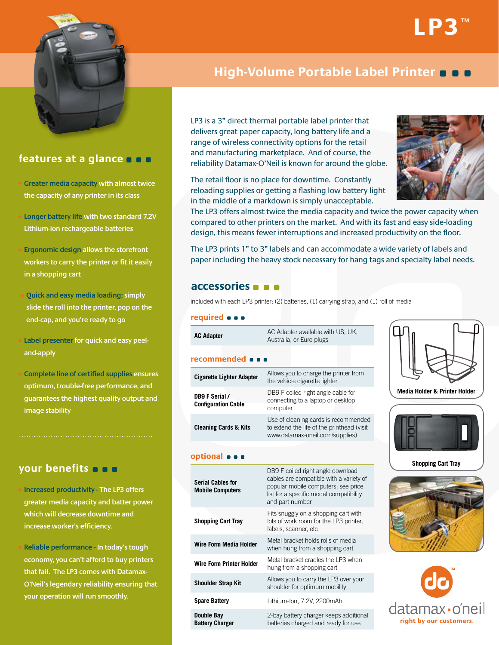



## **features at a glance**

• **Greater media capacity with almost twice the capacity of any printer in its class**

• **Longer battery life with two standard 7.2V Lithium-ion rechargeable batteries**

• **Ergonomic design allows the storefront workers to carry the printer or fit it easily in a shopping cart**

 • **Quick and easy media loading: simply slide the roll into the printer, pop on the end-cap, and you're ready to go**

# **High-Volume Portable Label Printer**

LP3 is a 3" direct thermal portable label printer that delivers great paper capacity, long battery life and a range of wireless connectivity options for the retail and manufacturing marketplace. And of course, the reliability Datamax-O'Neil is known for around the globe.

The retail floor is no place for downtime. Constantly reloading supplies or getting a flashing low battery light in the middle of a markdown is simply unacceptable.



The LP3 offers almost twice the media capacity and twice the power capacity when compared to other printers on the market. And with its fast and easy side-loading design, this means fewer interruptions and increased productivity on the floor.

The LP3 prints 1" to 3" labels and can accommodate a wide variety of labels and paper including the heavy stock necessary for hang tags and specialty label needs.

## **accessories**

included with each LP3 printer: (2) batteries, (1) carrying strap, and (1) roll of media

## **required**

| Label presenter for quick and easy peel-                                                                           | <b>AC Adapter</b>                                   | AC Adapter available with US, UK,<br>Australia, or Euro plugs                                                                                                                     |                                     |  |
|--------------------------------------------------------------------------------------------------------------------|-----------------------------------------------------|-----------------------------------------------------------------------------------------------------------------------------------------------------------------------------------|-------------------------------------|--|
| and-apply                                                                                                          | recommended                                         |                                                                                                                                                                                   |                                     |  |
| <b>Complete line of certified supplies ensures</b><br>optimum, trouble-free performance, and                       | <b>Cigarette Lighter Adapter</b>                    | Allows you to charge the printer from<br>the vehicle cigarette lighter                                                                                                            |                                     |  |
| guarantees the highest quality output and<br>image stability                                                       | DB9 F Serial /<br><b>Configuration Cable</b>        | DB9 F coiled right angle cable for<br>connecting to a laptop or desktop<br>computer                                                                                               | <b>Media Holder &amp; Printer I</b> |  |
|                                                                                                                    | <b>Cleaning Cards &amp; Kits</b>                    | Use of cleaning cards is recommended<br>to extend the life of the printhead (visit<br>www.datamax-oneil.com/supplies)                                                             |                                     |  |
|                                                                                                                    | optional $\bullet$ $\bullet$                        |                                                                                                                                                                                   |                                     |  |
| your benefits $\blacksquare$<br>Increased productivity - The LP3 offers<br>greater media capacity and batter power | <b>Serial Cables for</b><br><b>Mobile Computers</b> | DB9 F coiled right angle download<br>cables are compatible with a variety of<br>popular mobile computers; see price<br>list for a specific model compatibility<br>and part number | <b>Shopping Cart Tray</b>           |  |
| which will decrease downtime and<br>increase worker's efficiency.                                                  | <b>Shopping Cart Tray</b>                           | Fits snuggly on a shopping cart with<br>lots of work room for the LP3 printer,<br>labels, scanner, etc                                                                            |                                     |  |
| Reliable performance - In today's tough                                                                            | <b>Wire Form Media Holder</b>                       | Metal bracket holds rolls of media<br>when hung from a shopping cart                                                                                                              |                                     |  |
| economy, you can't afford to buy printers<br>that fail. The LP3 comes with Datamax-                                | <b>Wire Form Printer Holder</b>                     | Metal bracket cradles the LP3 when<br>hung from a shopping cart                                                                                                                   |                                     |  |
| O'Neil's legendary reliability ensuring that<br>your operation will run smoothly.                                  | <b>Shoulder Strap Kit</b>                           | Allows you to carry the LP3 over your<br>shoulder for optimum mobility                                                                                                            |                                     |  |
|                                                                                                                    | <b>Spare Battery</b>                                | Lithium-Ion, 7.2V, 2200mAh                                                                                                                                                        | datamax·o                           |  |
|                                                                                                                    | <b>Double Bay</b><br><b>Battery Charger</b>         | 2-bay battery charger keeps additional<br>batteries charged and ready for use                                                                                                     | right by our custon                 |  |



**Media Holder & Printer Holder**